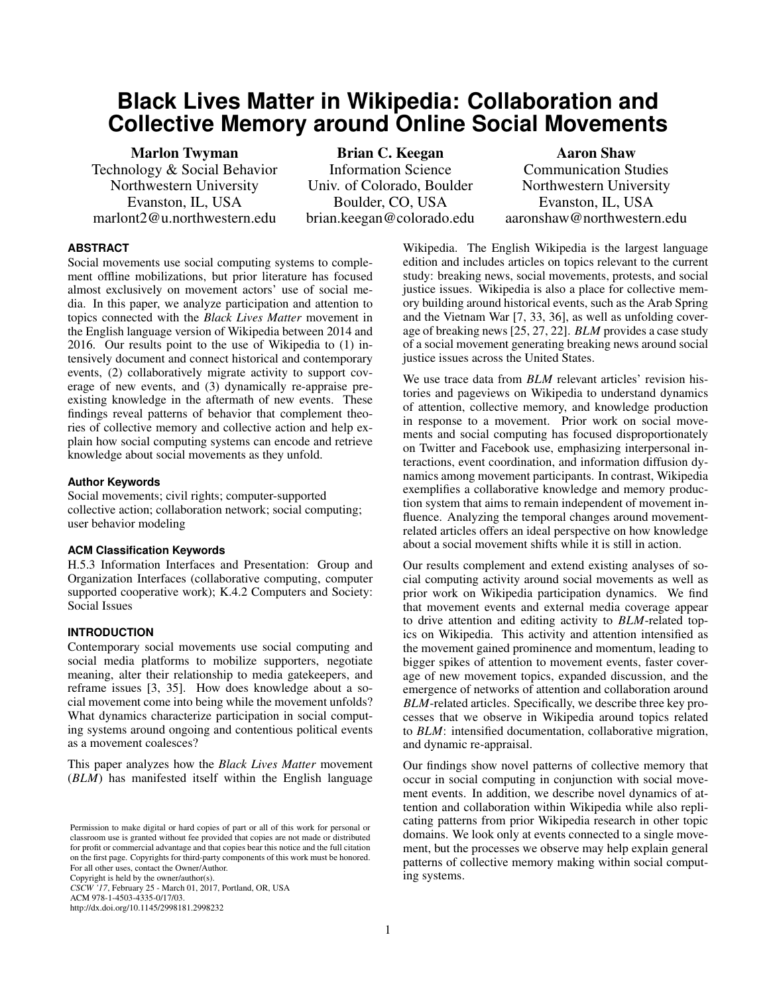# **Black Lives Matter in Wikipedia: Collaboration and Collective Memory around Online Social Movements**

Marlon Twyman Technology & Social Behavior Northwestern University Evanston, IL, USA marlont2@u.northwestern.edu

Brian C. Keegan Information Science Univ. of Colorado, Boulder Boulder, CO, USA brian.keegan@colorado.edu

Aaron Shaw Communication Studies Northwestern University Evanston, IL, USA aaronshaw@northwestern.edu

# **ABSTRACT**

Social movements use social computing systems to complement offline mobilizations, but prior literature has focused almost exclusively on movement actors' use of social media. In this paper, we analyze participation and attention to topics connected with the *Black Lives Matter* movement in the English language version of Wikipedia between 2014 and 2016. Our results point to the use of Wikipedia to (1) intensively document and connect historical and contemporary events, (2) collaboratively migrate activity to support coverage of new events, and (3) dynamically re-appraise preexisting knowledge in the aftermath of new events. These findings reveal patterns of behavior that complement theories of collective memory and collective action and help explain how social computing systems can encode and retrieve knowledge about social movements as they unfold.

# **Author Keywords**

Social movements; civil rights; computer-supported collective action; collaboration network; social computing; user behavior modeling

# **ACM Classification Keywords**

H.5.3 Information Interfaces and Presentation: Group and Organization Interfaces (collaborative computing, computer supported cooperative work); K.4.2 Computers and Society: Social Issues

# **INTRODUCTION**

Contemporary social movements use social computing and social media platforms to mobilize supporters, negotiate meaning, alter their relationship to media gatekeepers, and reframe issues [\[3,](#page-10-0) [35\]](#page-11-0). How does knowledge about a social movement come into being while the movement unfolds? What dynamics characterize participation in social computing systems around ongoing and contentious political events as a movement coalesces?

This paper analyzes how the *Black Lives Matter* movement (*BLM*) has manifested itself within the English language

Permission to make digital or hard copies of part or all of this work for personal or classroom use is granted without fee provided that copies are not made or distributed for profit or commercial advantage and that copies bear this notice and the full citation on the first page. Copyrights for third-party components of this work must be honored. For all other uses, contact the Owner/Author. Copyright is held by the owner/author(s).

*CSCW '17*, February 25 - March 01, 2017, Portland, OR, USA ACM 978-1-4503-4335-0/17/03.

http://dx.doi.org/10.1145/2998181.2998232

Wikipedia. The English Wikipedia is the largest language edition and includes articles on topics relevant to the current study: breaking news, social movements, protests, and social justice issues. Wikipedia is also a place for collective memory building around historical events, such as the Arab Spring and the Vietnam War [\[7,](#page-10-1) [33,](#page-11-1) [36\]](#page-11-2), as well as unfolding coverage of breaking news [\[25,](#page-11-3) [27,](#page-11-4) [22\]](#page-11-5). *BLM* provides a case study of a social movement generating breaking news around social justice issues across the United States.

We use trace data from *BLM* relevant articles' revision histories and pageviews on Wikipedia to understand dynamics of attention, collective memory, and knowledge production in response to a movement. Prior work on social movements and social computing has focused disproportionately on Twitter and Facebook use, emphasizing interpersonal interactions, event coordination, and information diffusion dynamics among movement participants. In contrast, Wikipedia exemplifies a collaborative knowledge and memory production system that aims to remain independent of movement influence. Analyzing the temporal changes around movementrelated articles offers an ideal perspective on how knowledge about a social movement shifts while it is still in action.

Our results complement and extend existing analyses of social computing activity around social movements as well as prior work on Wikipedia participation dynamics. We find that movement events and external media coverage appear to drive attention and editing activity to *BLM*-related topics on Wikipedia. This activity and attention intensified as the movement gained prominence and momentum, leading to bigger spikes of attention to movement events, faster coverage of new movement topics, expanded discussion, and the emergence of networks of attention and collaboration around *BLM*-related articles. Specifically, we describe three key processes that we observe in Wikipedia around topics related to *BLM*: intensified documentation, collaborative migration, and dynamic re-appraisal.

Our findings show novel patterns of collective memory that occur in social computing in conjunction with social movement events. In addition, we describe novel dynamics of attention and collaboration within Wikipedia while also replicating patterns from prior Wikipedia research in other topic domains. We look only at events connected to a single movement, but the processes we observe may help explain general patterns of collective memory making within social computing systems.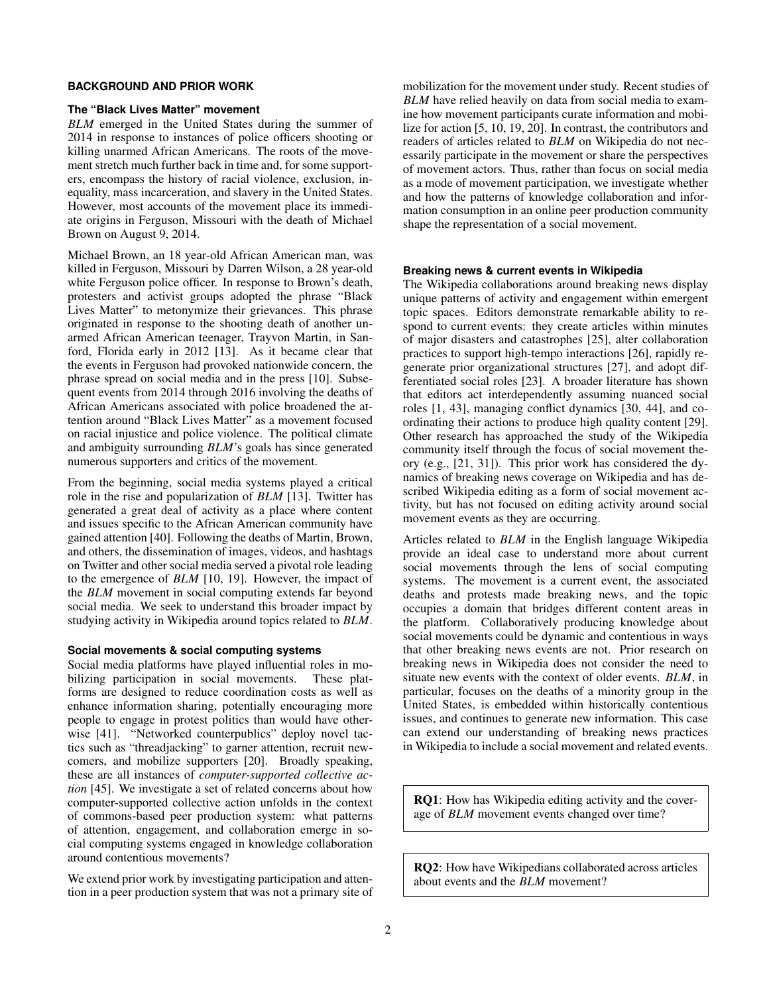# **BACKGROUND AND PRIOR WORK**

## **The "Black Lives Matter" movement**

*BLM* emerged in the United States during the summer of 2014 in response to instances of police officers shooting or killing unarmed African Americans. The roots of the movement stretch much further back in time and, for some supporters, encompass the history of racial violence, exclusion, inequality, mass incarceration, and slavery in the United States. However, most accounts of the movement place its immediate origins in Ferguson, Missouri with the death of Michael Brown on August 9, 2014.

Michael Brown, an 18 year-old African American man, was killed in Ferguson, Missouri by Darren Wilson, a 28 year-old white Ferguson police officer. In response to Brown's death, protesters and activist groups adopted the phrase "Black Lives Matter" to metonymize their grievances. This phrase originated in response to the shooting death of another unarmed African American teenager, Trayvon Martin, in Sanford, Florida early in 2012 [\[13\]](#page-10-2). As it became clear that the events in Ferguson had provoked nationwide concern, the phrase spread on social media and in the press [\[10\]](#page-10-3). Subsequent events from 2014 through 2016 involving the deaths of African Americans associated with police broadened the attention around "Black Lives Matter" as a movement focused on racial injustice and police violence. The political climate and ambiguity surrounding *BLM*'s goals has since generated numerous supporters and critics of the movement.

From the beginning, social media systems played a critical role in the rise and popularization of *BLM* [\[13\]](#page-10-2). Twitter has generated a great deal of activity as a place where content and issues specific to the African American community have gained attention [\[40\]](#page-11-6). Following the deaths of Martin, Brown, and others, the dissemination of images, videos, and hashtags on Twitter and other social media served a pivotal role leading to the emergence of *BLM* [\[10,](#page-10-3) [19\]](#page-10-4). However, the impact of the *BLM* movement in social computing extends far beyond social media. We seek to understand this broader impact by studying activity in Wikipedia around topics related to *BLM*.

## **Social movements & social computing systems**

Social media platforms have played influential roles in mobilizing participation in social movements. These platforms are designed to reduce coordination costs as well as enhance information sharing, potentially encouraging more people to engage in protest politics than would have other-wise [\[41\]](#page-11-7). "Networked counterpublics" deploy novel tactics such as "threadjacking" to garner attention, recruit newcomers, and mobilize supporters [\[20\]](#page-10-5). Broadly speaking, these are all instances of *computer-supported collective action* [\[45\]](#page-12-0). We investigate a set of related concerns about how computer-supported collective action unfolds in the context of commons-based peer production system: what patterns of attention, engagement, and collaboration emerge in social computing systems engaged in knowledge collaboration around contentious movements?

We extend prior work by investigating participation and attention in a peer production system that was not a primary site of

mobilization for the movement under study. Recent studies of *BLM* have relied heavily on data from social media to examine how movement participants curate information and mobilize for action [\[5,](#page-10-6) [10,](#page-10-3) [19,](#page-10-4) [20\]](#page-10-5). In contrast, the contributors and readers of articles related to *BLM* on Wikipedia do not necessarily participate in the movement or share the perspectives of movement actors. Thus, rather than focus on social media as a mode of movement participation, we investigate whether and how the patterns of knowledge collaboration and information consumption in an online peer production community shape the representation of a social movement.

## **Breaking news & current events in Wikipedia**

The Wikipedia collaborations around breaking news display unique patterns of activity and engagement within emergent topic spaces. Editors demonstrate remarkable ability to respond to current events: they create articles within minutes of major disasters and catastrophes [\[25\]](#page-11-3), alter collaboration practices to support high-tempo interactions [\[26\]](#page-11-8), rapidly regenerate prior organizational structures [\[27\]](#page-11-4), and adopt differentiated social roles [\[23\]](#page-11-9). A broader literature has shown that editors act interdependently assuming nuanced social roles [\[1,](#page-10-7) [43\]](#page-11-10), managing conflict dynamics [\[30,](#page-11-11) [44\]](#page-12-1), and coordinating their actions to produce high quality content [\[29\]](#page-11-12). Other research has approached the study of the Wikipedia community itself through the focus of social movement theory (e.g., [\[21,](#page-10-8) [31\]](#page-11-13)). This prior work has considered the dynamics of breaking news coverage on Wikipedia and has described Wikipedia editing as a form of social movement activity, but has not focused on editing activity around social movement events as they are occurring.

Articles related to *BLM* in the English language Wikipedia provide an ideal case to understand more about current social movements through the lens of social computing systems. The movement is a current event, the associated deaths and protests made breaking news, and the topic occupies a domain that bridges different content areas in the platform. Collaboratively producing knowledge about social movements could be dynamic and contentious in ways that other breaking news events are not. Prior research on breaking news in Wikipedia does not consider the need to situate new events with the context of older events. *BLM*, in particular, focuses on the deaths of a minority group in the United States, is embedded within historically contentious issues, and continues to generate new information. This case can extend our understanding of breaking news practices in Wikipedia to include a social movement and related events.

RQ1: How has Wikipedia editing activity and the coverage of *BLM* movement events changed over time?

RQ2: How have Wikipedians collaborated across articles about events and the *BLM* movement?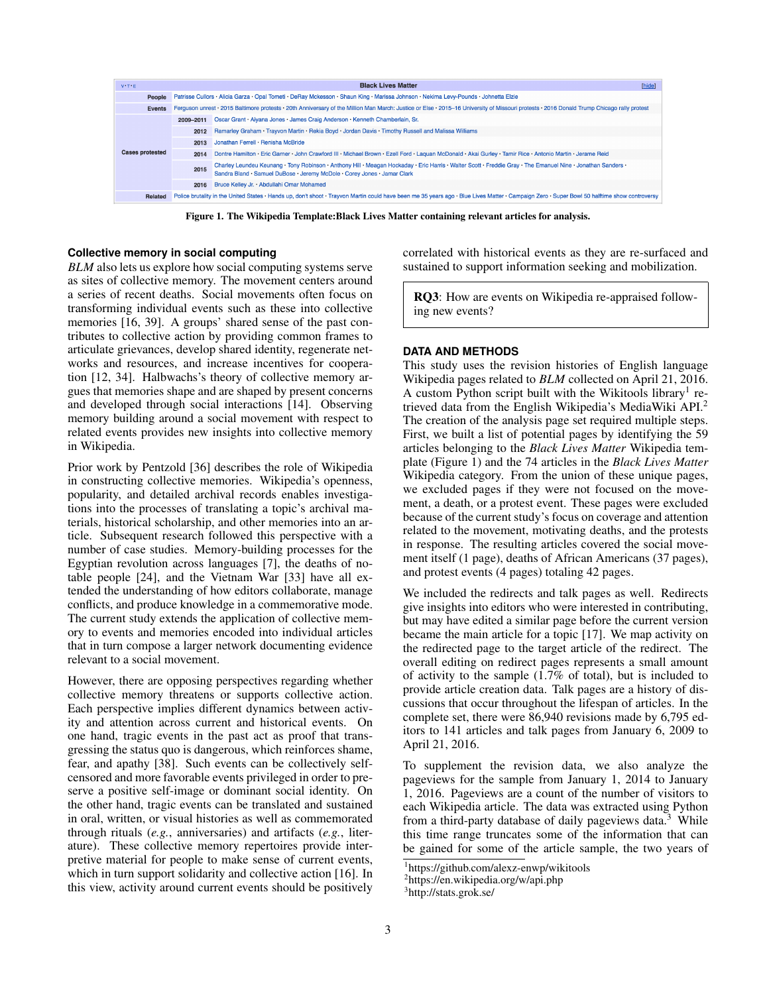

<span id="page-2-2"></span>Figure 1. The Wikipedia Template:Black Lives Matter containing relevant articles for analysis.

## **Collective memory in social computing**

*BLM* also lets us explore how social computing systems serve as sites of collective memory. The movement centers around a series of recent deaths. Social movements often focus on transforming individual events such as these into collective memories [\[16,](#page-10-9) [39\]](#page-11-14). A groups' shared sense of the past contributes to collective action by providing common frames to articulate grievances, develop shared identity, regenerate networks and resources, and increase incentives for cooperation [\[12,](#page-10-10) [34\]](#page-11-15). Halbwachs's theory of collective memory argues that memories shape and are shaped by present concerns and developed through social interactions [\[14\]](#page-10-11). Observing memory building around a social movement with respect to related events provides new insights into collective memory in Wikipedia.

Prior work by Pentzold [\[36\]](#page-11-2) describes the role of Wikipedia in constructing collective memories. Wikipedia's openness, popularity, and detailed archival records enables investigations into the processes of translating a topic's archival materials, historical scholarship, and other memories into an article. Subsequent research followed this perspective with a number of case studies. Memory-building processes for the Egyptian revolution across languages [\[7\]](#page-10-1), the deaths of notable people [\[24\]](#page-11-16), and the Vietnam War [\[33\]](#page-11-1) have all extended the understanding of how editors collaborate, manage conflicts, and produce knowledge in a commemorative mode. The current study extends the application of collective memory to events and memories encoded into individual articles that in turn compose a larger network documenting evidence relevant to a social movement.

However, there are opposing perspectives regarding whether collective memory threatens or supports collective action. Each perspective implies different dynamics between activity and attention across current and historical events. On one hand, tragic events in the past act as proof that transgressing the status quo is dangerous, which reinforces shame, fear, and apathy [\[38\]](#page-11-17). Such events can be collectively selfcensored and more favorable events privileged in order to preserve a positive self-image or dominant social identity. On the other hand, tragic events can be translated and sustained in oral, written, or visual histories as well as commemorated through rituals (*e.g.*, anniversaries) and artifacts (*e.g.*, literature). These collective memory repertoires provide interpretive material for people to make sense of current events, which in turn support solidarity and collective action [\[16\]](#page-10-9). In this view, activity around current events should be positively correlated with historical events as they are re-surfaced and sustained to support information seeking and mobilization.

RQ3: How are events on Wikipedia re-appraised following new events?

# **DATA AND METHODS**

This study uses the revision histories of English language Wikipedia pages related to *BLM* collected on April 21, 2016. A custom Python script built with the Wikitools library<sup>[1](#page-2-0)</sup> retrieved data from the English Wikipedia's MediaWiki API.[2](#page-2-1) The creation of the analysis page set required multiple steps. First, we built a list of potential pages by identifying the 59 articles belonging to the *Black Lives Matter* Wikipedia template (Figure [1\)](#page-2-2) and the 74 articles in the *Black Lives Matter* Wikipedia category. From the union of these unique pages, we excluded pages if they were not focused on the movement, a death, or a protest event. These pages were excluded because of the current study's focus on coverage and attention related to the movement, motivating deaths, and the protests in response. The resulting articles covered the social movement itself (1 page), deaths of African Americans (37 pages), and protest events (4 pages) totaling 42 pages.

We included the redirects and talk pages as well. Redirects give insights into editors who were interested in contributing, but may have edited a similar page before the current version became the main article for a topic [\[17\]](#page-10-12). We map activity on the redirected page to the target article of the redirect. The overall editing on redirect pages represents a small amount of activity to the sample (1.7% of total), but is included to provide article creation data. Talk pages are a history of discussions that occur throughout the lifespan of articles. In the complete set, there were 86,940 revisions made by 6,795 editors to 141 articles and talk pages from January 6, 2009 to April 21, 2016.

To supplement the revision data, we also analyze the pageviews for the sample from January 1, 2014 to January 1, 2016. Pageviews are a count of the number of visitors to each Wikipedia article. The data was extracted using Python from a third-party database of daily pageviews data.[3](#page-2-3) While this time range truncates some of the information that can be gained for some of the article sample, the two years of

<span id="page-2-0"></span><sup>1</sup>https://github.com/alexz-enwp/wikitools

<span id="page-2-1"></span><sup>2</sup>https://en.wikipedia.org/w/api.php

<span id="page-2-3"></span><sup>3</sup>http://stats.grok.se/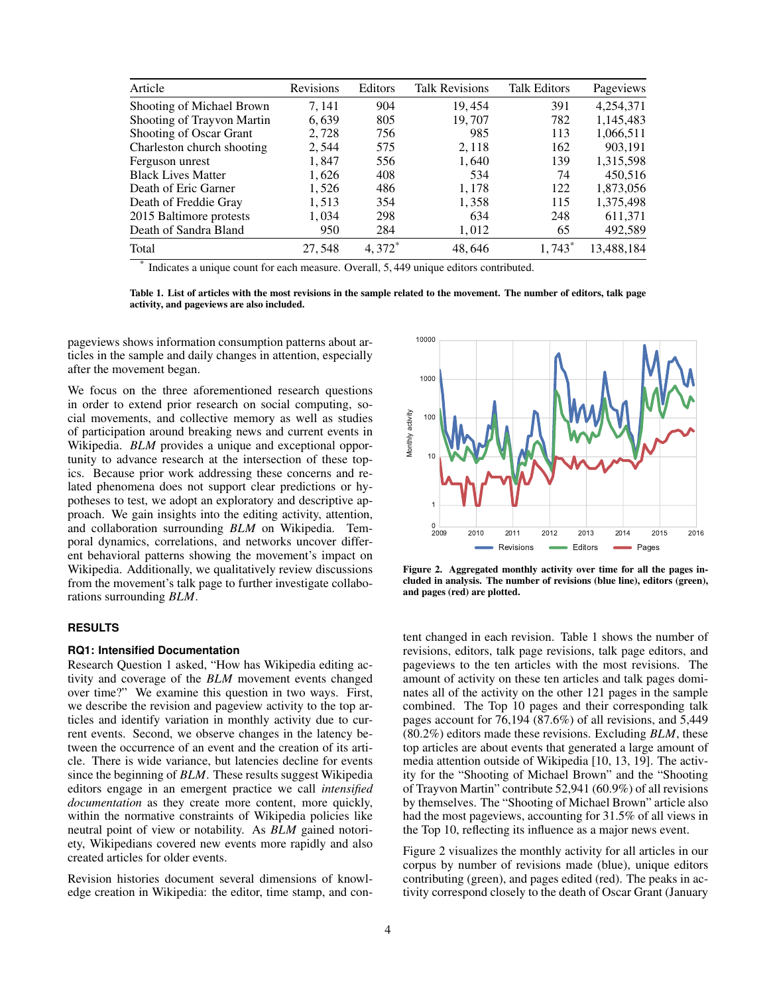| Article                                                                            | Revisions | Editors   | <b>Talk Revisions</b> | <b>Talk Editors</b> | Pageviews  |
|------------------------------------------------------------------------------------|-----------|-----------|-----------------------|---------------------|------------|
| Shooting of Michael Brown                                                          | 7, 141    | 904       | 19,454                | 391                 | 4,254,371  |
| Shooting of Trayvon Martin                                                         | 6,639     | 805       | 19.707                | 782                 | 1,145,483  |
| Shooting of Oscar Grant                                                            | 2,728     | 756       | 985                   | 113                 | 1,066,511  |
| Charleston church shooting                                                         | 2,544     | 575       | 2,118                 | 162                 | 903,191    |
| Ferguson unrest                                                                    | 1,847     | 556       | 1,640                 | 139                 | 1,315,598  |
| <b>Black Lives Matter</b>                                                          | 1,626     | 408       | 534                   | 74                  | 450,516    |
| Death of Eric Garner                                                               | 1,526     | 486       | 1,178                 | 122                 | 1,873,056  |
| Death of Freddie Gray                                                              | 1,513     | 354       | 1,358                 | 115                 | 1,375,498  |
| 2015 Baltimore protests                                                            | 1,034     | 298       | 634                   | 248                 | 611,371    |
| Death of Sandra Bland                                                              | 950       | 284       | 1,012                 | 65                  | 492,589    |
| Total                                                                              | 27,548    | $4,372^*$ | 48,646                | $1,743*$            | 13,488,184 |
| Indicates a unique count for each measure Overall 5 440 unique editors contributed |           |           |                       |                     |            |

<span id="page-3-0"></span>Indicates a unique count for each measure. Overall, <sup>5</sup>, <sup>449</sup> unique editors contributed.

Table 1. List of articles with the most revisions in the sample related to the movement. The number of editors, talk page activity, and pageviews are also included.

pageviews shows information consumption patterns about articles in the sample and daily changes in attention, especially after the movement began.

We focus on the three aforementioned research questions in order to extend prior research on social computing, social movements, and collective memory as well as studies of participation around breaking news and current events in Wikipedia. *BLM* provides a unique and exceptional opportunity to advance research at the intersection of these topics. Because prior work addressing these concerns and related phenomena does not support clear predictions or hypotheses to test, we adopt an exploratory and descriptive approach. We gain insights into the editing activity, attention, and collaboration surrounding *BLM* on Wikipedia. Temporal dynamics, correlations, and networks uncover different behavioral patterns showing the movement's impact on Wikipedia. Additionally, we qualitatively review discussions from the movement's talk page to further investigate collaborations surrounding *BLM*.

# **RESULTS**

## **RQ1: Intensified Documentation**

Research Question 1 asked, "How has Wikipedia editing activity and coverage of the *BLM* movement events changed over time?" We examine this question in two ways. First, we describe the revision and pageview activity to the top articles and identify variation in monthly activity due to current events. Second, we observe changes in the latency between the occurrence of an event and the creation of its article. There is wide variance, but latencies decline for events since the beginning of *BLM*. These results suggest Wikipedia editors engage in an emergent practice we call *intensified documentation* as they create more content, more quickly, within the normative constraints of Wikipedia policies like neutral point of view or notability. As *BLM* gained notoriety, Wikipedians covered new events more rapidly and also created articles for older events.

Revision histories document several dimensions of knowledge creation in Wikipedia: the editor, time stamp, and con-



<span id="page-3-1"></span>Figure 2. Aggregated monthly activity over time for all the pages included in analysis. The number of revisions (blue line), editors (green), and pages (red) are plotted.

tent changed in each revision. Table [1](#page-3-0) shows the number of revisions, editors, talk page revisions, talk page editors, and pageviews to the ten articles with the most revisions. The amount of activity on these ten articles and talk pages dominates all of the activity on the other 121 pages in the sample combined. The Top 10 pages and their corresponding talk pages account for 76,194 (87.6%) of all revisions, and 5,449 (80.2%) editors made these revisions. Excluding *BLM*, these top articles are about events that generated a large amount of media attention outside of Wikipedia [\[10,](#page-10-3) [13,](#page-10-2) [19\]](#page-10-4). The activity for the "Shooting of Michael Brown" and the "Shooting of Trayvon Martin" contribute 52,941 (60.9%) of all revisions by themselves. The "Shooting of Michael Brown" article also had the most pageviews, accounting for 31.5% of all views in the Top 10, reflecting its influence as a major news event.

Figure [2](#page-3-1) visualizes the monthly activity for all articles in our corpus by number of revisions made (blue), unique editors contributing (green), and pages edited (red). The peaks in activity correspond closely to the death of Oscar Grant (January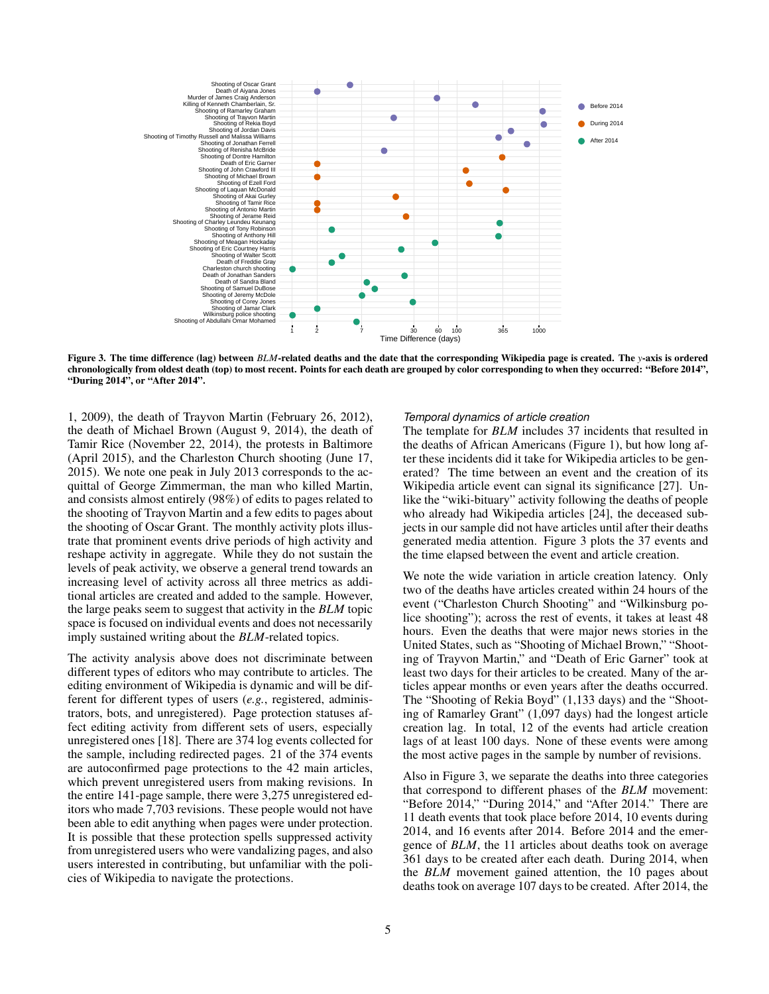

<span id="page-4-0"></span>Figure 3. The time difference (lag) between *BLM*-related deaths and the date that the corresponding Wikipedia page is created. The *y*-axis is ordered chronologically from oldest death (top) to most recent. Points for each death are grouped by color corresponding to when they occurred: "Before 2014", "During 2014", or "After 2014".

1, 2009), the death of Trayvon Martin (February 26, 2012), the death of Michael Brown (August 9, 2014), the death of Tamir Rice (November 22, 2014), the protests in Baltimore (April 2015), and the Charleston Church shooting (June 17, 2015). We note one peak in July 2013 corresponds to the acquittal of George Zimmerman, the man who killed Martin, and consists almost entirely (98%) of edits to pages related to the shooting of Trayvon Martin and a few edits to pages about the shooting of Oscar Grant. The monthly activity plots illustrate that prominent events drive periods of high activity and reshape activity in aggregate. While they do not sustain the levels of peak activity, we observe a general trend towards an increasing level of activity across all three metrics as additional articles are created and added to the sample. However, the large peaks seem to suggest that activity in the *BLM* topic space is focused on individual events and does not necessarily imply sustained writing about the *BLM*-related topics.

The activity analysis above does not discriminate between different types of editors who may contribute to articles. The editing environment of Wikipedia is dynamic and will be different for different types of users (*e.g.*, registered, administrators, bots, and unregistered). Page protection statuses affect editing activity from different sets of users, especially unregistered ones [\[18\]](#page-10-13). There are 374 log events collected for the sample, including redirected pages. 21 of the 374 events are autoconfirmed page protections to the 42 main articles, which prevent unregistered users from making revisions. In the entire 141-page sample, there were 3,275 unregistered editors who made 7,703 revisions. These people would not have been able to edit anything when pages were under protection. It is possible that these protection spells suppressed activity from unregistered users who were vandalizing pages, and also users interested in contributing, but unfamiliar with the policies of Wikipedia to navigate the protections.

#### *Temporal dynamics of article creation*

The template for *BLM* includes 37 incidents that resulted in the deaths of African Americans (Figure [1\)](#page-2-2), but how long after these incidents did it take for Wikipedia articles to be generated? The time between an event and the creation of its Wikipedia article event can signal its significance [\[27\]](#page-11-4). Unlike the "wiki-bituary" activity following the deaths of people who already had Wikipedia articles [\[24\]](#page-11-16), the deceased subjects in our sample did not have articles until after their deaths generated media attention. Figure [3](#page-4-0) plots the 37 events and the time elapsed between the event and article creation.

We note the wide variation in article creation latency. Only two of the deaths have articles created within 24 hours of the event ("Charleston Church Shooting" and "Wilkinsburg police shooting"); across the rest of events, it takes at least 48 hours. Even the deaths that were major news stories in the United States, such as "Shooting of Michael Brown," "Shooting of Trayvon Martin," and "Death of Eric Garner" took at least two days for their articles to be created. Many of the articles appear months or even years after the deaths occurred. The "Shooting of Rekia Boyd" (1,133 days) and the "Shooting of Ramarley Grant" (1,097 days) had the longest article creation lag. In total, 12 of the events had article creation lags of at least 100 days. None of these events were among the most active pages in the sample by number of revisions.

Also in Figure [3,](#page-4-0) we separate the deaths into three categories that correspond to different phases of the *BLM* movement: "Before 2014," "During 2014," and "After 2014." There are 11 death events that took place before 2014, 10 events during 2014, and 16 events after 2014. Before 2014 and the emergence of *BLM*, the 11 articles about deaths took on average 361 days to be created after each death. During 2014, when the *BLM* movement gained attention, the 10 pages about deaths took on average 107 days to be created. After 2014, the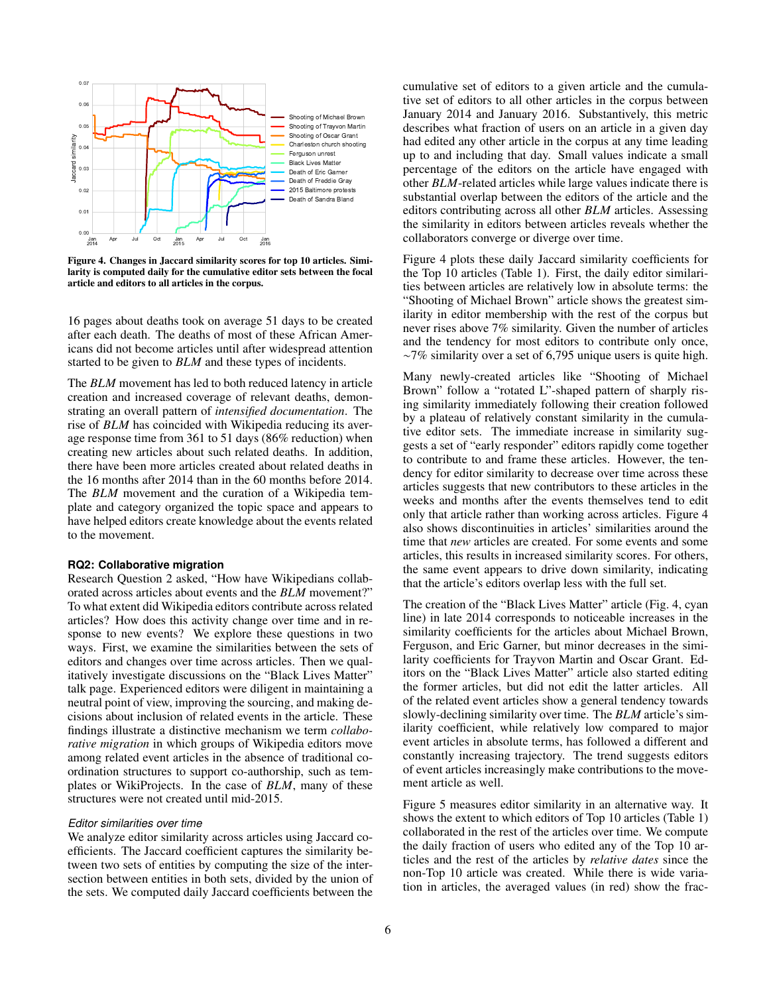

<span id="page-5-0"></span>Figure 4. Changes in Jaccard similarity scores for top 10 articles. Similarity is computed daily for the cumulative editor sets between the focal article and editors to all articles in the corpus.

16 pages about deaths took on average 51 days to be created after each death. The deaths of most of these African Americans did not become articles until after widespread attention started to be given to *BLM* and these types of incidents.

The *BLM* movement has led to both reduced latency in article creation and increased coverage of relevant deaths, demonstrating an overall pattern of *intensified documentation*. The rise of *BLM* has coincided with Wikipedia reducing its average response time from 361 to 51 days (86% reduction) when creating new articles about such related deaths. In addition, there have been more articles created about related deaths in the 16 months after 2014 than in the 60 months before 2014. The *BLM* movement and the curation of a Wikipedia template and category organized the topic space and appears to have helped editors create knowledge about the events related to the movement.

# **RQ2: Collaborative migration**

Research Question 2 asked, "How have Wikipedians collaborated across articles about events and the *BLM* movement?" To what extent did Wikipedia editors contribute across related articles? How does this activity change over time and in response to new events? We explore these questions in two ways. First, we examine the similarities between the sets of editors and changes over time across articles. Then we qualitatively investigate discussions on the "Black Lives Matter" talk page. Experienced editors were diligent in maintaining a neutral point of view, improving the sourcing, and making decisions about inclusion of related events in the article. These findings illustrate a distinctive mechanism we term *collaborative migration* in which groups of Wikipedia editors move among related event articles in the absence of traditional coordination structures to support co-authorship, such as templates or WikiProjects. In the case of *BLM*, many of these structures were not created until mid-2015.

#### *Editor similarities over time*

We analyze editor similarity across articles using Jaccard coefficients. The Jaccard coefficient captures the similarity between two sets of entities by computing the size of the intersection between entities in both sets, divided by the union of the sets. We computed daily Jaccard coefficients between the

cumulative set of editors to a given article and the cumulative set of editors to all other articles in the corpus between January 2014 and January 2016. Substantively, this metric describes what fraction of users on an article in a given day had edited any other article in the corpus at any time leading up to and including that day. Small values indicate a small percentage of the editors on the article have engaged with other *BLM*-related articles while large values indicate there is substantial overlap between the editors of the article and the editors contributing across all other *BLM* articles. Assessing the similarity in editors between articles reveals whether the collaborators converge or diverge over time.

Figure [4](#page-5-0) plots these daily Jaccard similarity coefficients for the Top 10 articles (Table [1\)](#page-3-0). First, the daily editor similarities between articles are relatively low in absolute terms: the "Shooting of Michael Brown" article shows the greatest similarity in editor membership with the rest of the corpus but never rises above 7% similarity. Given the number of articles and the tendency for most editors to contribute only once, ∼7% similarity over a set of 6,795 unique users is quite high.

Many newly-created articles like "Shooting of Michael Brown" follow a "rotated L"-shaped pattern of sharply rising similarity immediately following their creation followed by a plateau of relatively constant similarity in the cumulative editor sets. The immediate increase in similarity suggests a set of "early responder" editors rapidly come together to contribute to and frame these articles. However, the tendency for editor similarity to decrease over time across these articles suggests that new contributors to these articles in the weeks and months after the events themselves tend to edit only that article rather than working across articles. Figure [4](#page-5-0) also shows discontinuities in articles' similarities around the time that *new* articles are created. For some events and some articles, this results in increased similarity scores. For others, the same event appears to drive down similarity, indicating that the article's editors overlap less with the full set.

The creation of the "Black Lives Matter" article (Fig. [4,](#page-5-0) cyan line) in late 2014 corresponds to noticeable increases in the similarity coefficients for the articles about Michael Brown, Ferguson, and Eric Garner, but minor decreases in the similarity coefficients for Trayvon Martin and Oscar Grant. Editors on the "Black Lives Matter" article also started editing the former articles, but did not edit the latter articles. All of the related event articles show a general tendency towards slowly-declining similarity over time. The *BLM* article's similarity coefficient, while relatively low compared to major event articles in absolute terms, has followed a different and constantly increasing trajectory. The trend suggests editors of event articles increasingly make contributions to the movement article as well.

Figure [5](#page-6-0) measures editor similarity in an alternative way. It shows the extent to which editors of Top 10 articles (Table [1\)](#page-3-0) collaborated in the rest of the articles over time. We compute the daily fraction of users who edited any of the Top 10 articles and the rest of the articles by *relative dates* since the non-Top 10 article was created. While there is wide variation in articles, the averaged values (in red) show the frac-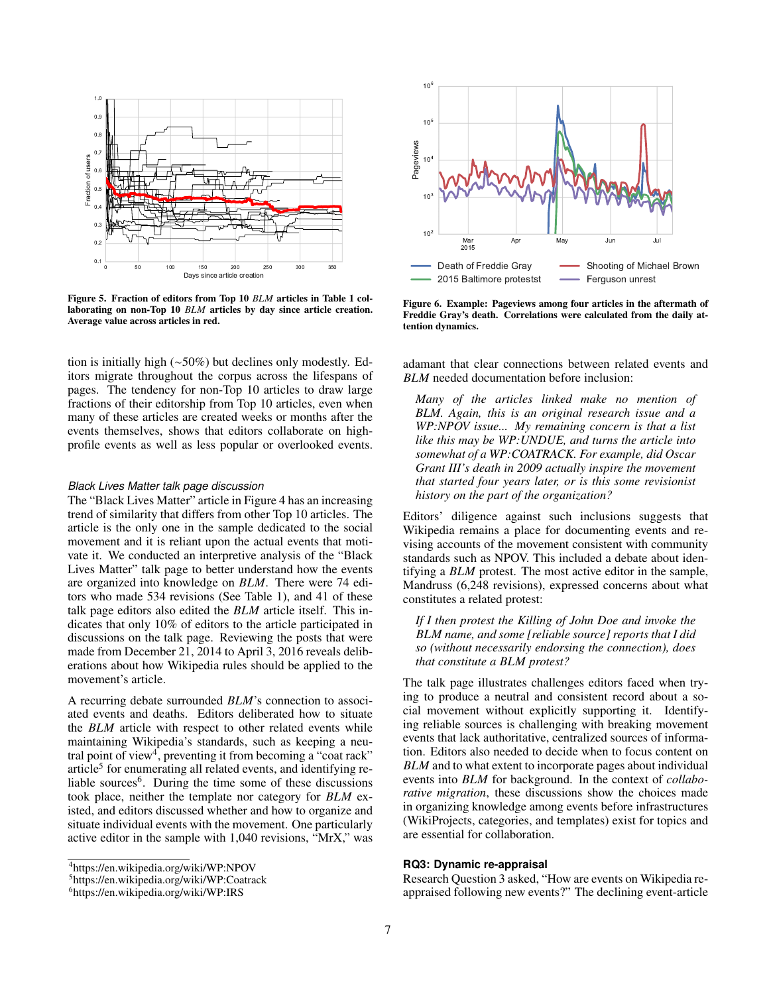

<span id="page-6-0"></span>Figure 5. Fraction of editors from Top 10 *BLM* articles in Table [1](#page-3-0) collaborating on non-Top 10 *BLM* articles by day since article creation. Average value across articles in red.

tion is initially high (∼50%) but declines only modestly. Editors migrate throughout the corpus across the lifespans of pages. The tendency for non-Top 10 articles to draw large fractions of their editorship from Top 10 articles, even when many of these articles are created weeks or months after the events themselves, shows that editors collaborate on highprofile events as well as less popular or overlooked events.

#### *Black Lives Matter talk page discussion*

The "Black Lives Matter" article in Figure [4](#page-5-0) has an increasing trend of similarity that differs from other Top 10 articles. The article is the only one in the sample dedicated to the social movement and it is reliant upon the actual events that motivate it. We conducted an interpretive analysis of the "Black Lives Matter" talk page to better understand how the events are organized into knowledge on *BLM*. There were 74 editors who made 534 revisions (See Table [1\)](#page-3-0), and 41 of these talk page editors also edited the *BLM* article itself. This indicates that only 10% of editors to the article participated in discussions on the talk page. Reviewing the posts that were made from December 21, 2014 to April 3, 2016 reveals deliberations about how Wikipedia rules should be applied to the movement's article. 6https://en.wikipedia.org/wiki/WP:IRS Mar

A recurring debate surrounded *BLM*'s connection to associated events and deaths. Editors deliberated how to situate the *BLM* article with respect to other related events while maintaining Wikipedia's standards, such as keeping a neu-tral point of view<sup>[4](#page-6-1)</sup>, preventing it from becoming a "coat rack" article<sup>[5](#page-6-2)</sup> for enumerating all related events, and identifying re-liable sources<sup>[6](#page-6-3)</sup>. During the time some of these discussions took place, neither the template nor category for *BLM* existed, and editors discussed whether and how to organize and situate individual events with the movement. One particularly active editor in the sample with 1,040 revisions, "MrX," was

<span id="page-6-1"></span>

<span id="page-6-2"></span><sup>&</sup>lt;sup>5</sup>https://en.wikipedia.org/wiki/WP:Coatrack<br><sup>6</sup>https://en.wikipedia.org/wiki/WP:IRS



<span id="page-6-4"></span>Figure 6. Example: Pageviews among four articles in the aftermath of Freddie Gray's death. Correlations were calculated from the daily attention dynamics.

adamant that clear connections between related events and *BLM* needed documentation before inclusion:

*Many of the articles linked make no mention of BLM. Again, this is an original research issue and a WP:NPOV issue... My remaining concern is that a list like this may be WP:UNDUE, and turns the article into somewhat of a WP:COATRACK. For example, did Oscar Grant III's death in 2009 actually inspire the movement that started four years later, or is this some revisionist history on the part of the organization?*

Editors' diligence against such inclusions suggests that Wikipedia remains a place for documenting events and revising accounts of the movement consistent with community standards such as NPOV. This included a debate about identifying a *BLM* protest. The most active editor in the sample, Mandruss (6,248 revisions), expressed concerns about what constitutes a related protest:

*If I then protest the Killing of John Doe and invoke the BLM name, and some [reliable source] reports that I did so (without necessarily endorsing the connection), does that constitute a BLM protest?*

The talk page illustrates challenges editors faced when trying to produce a neutral and consistent record about a social movement without explicitly supporting it. Identifying reliable sources is challenging with breaking movement events that lack authoritative, centralized sources of information. Editors also needed to decide when to focus content on *BLM* and to what extent to incorporate pages about individual events into *BLM* for background. In the context of *collaborative migration*, these discussions show the choices made in organizing knowledge among events before infrastructures (WikiProjects, categories, and templates) exist for topics and are essential for collaboration.

# **RQ3: Dynamic re-appraisal**

Research Question 3 asked, "How are events on Wikipedia reappraised following new events?" The declining event-article

<span id="page-6-3"></span>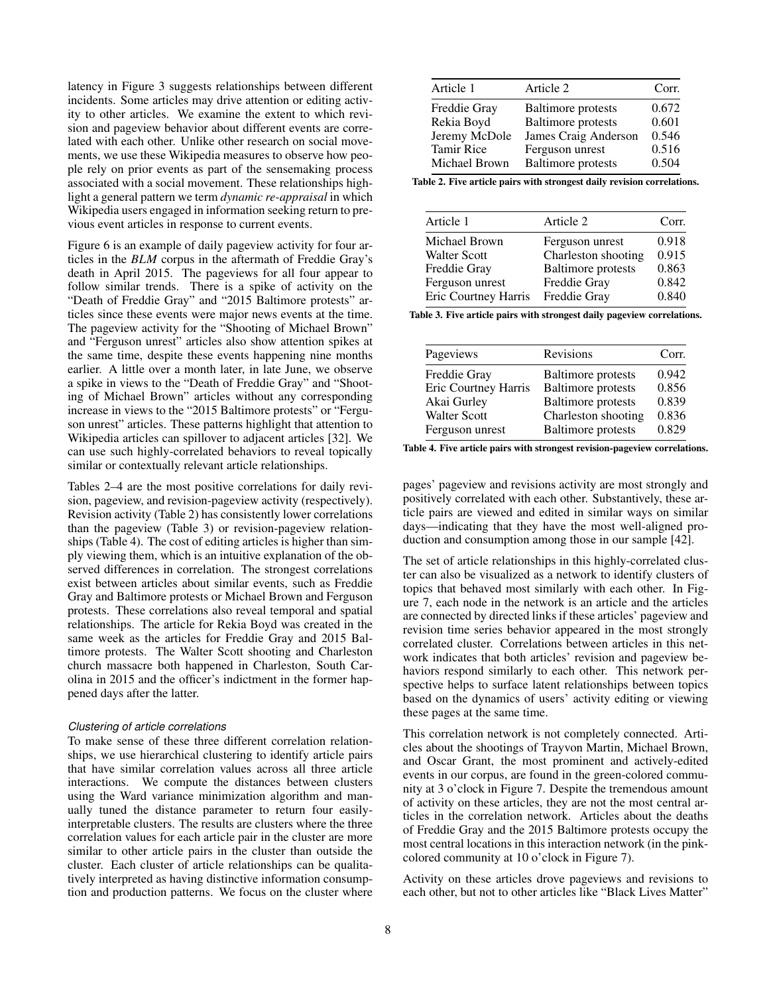latency in Figure [3](#page-4-0) suggests relationships between different incidents. Some articles may drive attention or editing activity to other articles. We examine the extent to which revision and pageview behavior about different events are correlated with each other. Unlike other research on social movements, we use these Wikipedia measures to observe how people rely on prior events as part of the sensemaking process associated with a social movement. These relationships highlight a general pattern we term *dynamic re-appraisal* in which Wikipedia users engaged in information seeking return to previous event articles in response to current events.

Figure [6](#page-6-4) is an example of daily pageview activity for four articles in the *BLM* corpus in the aftermath of Freddie Gray's death in April 2015. The pageviews for all four appear to follow similar trends. There is a spike of activity on the "Death of Freddie Gray" and "2015 Baltimore protests" articles since these events were major news events at the time. The pageview activity for the "Shooting of Michael Brown" and "Ferguson unrest" articles also show attention spikes at the same time, despite these events happening nine months earlier. A little over a month later, in late June, we observe a spike in views to the "Death of Freddie Gray" and "Shooting of Michael Brown" articles without any corresponding increase in views to the "2015 Baltimore protests" or "Ferguson unrest" articles. These patterns highlight that attention to Wikipedia articles can spillover to adjacent articles [\[32\]](#page-11-18). We can use such highly-correlated behaviors to reveal topically similar or contextually relevant article relationships.

Tables [2–](#page-7-0)[4](#page-7-1) are the most positive correlations for daily revision, pageview, and revision-pageview activity (respectively). Revision activity (Table [2\)](#page-7-0) has consistently lower correlations than the pageview (Table [3\)](#page-7-2) or revision-pageview relationships (Table [4\)](#page-7-1). The cost of editing articles is higher than simply viewing them, which is an intuitive explanation of the observed differences in correlation. The strongest correlations exist between articles about similar events, such as Freddie Gray and Baltimore protests or Michael Brown and Ferguson protests. These correlations also reveal temporal and spatial relationships. The article for Rekia Boyd was created in the same week as the articles for Freddie Gray and 2015 Baltimore protests. The Walter Scott shooting and Charleston church massacre both happened in Charleston, South Carolina in 2015 and the officer's indictment in the former happened days after the latter.

# *Clustering of article correlations*

To make sense of these three different correlation relationships, we use hierarchical clustering to identify article pairs that have similar correlation values across all three article interactions. We compute the distances between clusters using the Ward variance minimization algorithm and manually tuned the distance parameter to return four easilyinterpretable clusters. The results are clusters where the three correlation values for each article pair in the cluster are more similar to other article pairs in the cluster than outside the cluster. Each cluster of article relationships can be qualitatively interpreted as having distinctive information consumption and production patterns. We focus on the cluster where

| Article 1         | Article 2                 | Corr. |
|-------------------|---------------------------|-------|
| Freddie Gray      | <b>Baltimore</b> protests | 0.672 |
| Rekia Boyd        | <b>Baltimore</b> protests | 0.601 |
| Jeremy McDole     | James Craig Anderson      | 0.546 |
| <b>Tamir Rice</b> | Ferguson unrest           | 0.516 |
| Michael Brown     | <b>Baltimore</b> protests | 0.504 |

<span id="page-7-0"></span>Table 2. Five article pairs with strongest daily revision correlations.

| Article 1            | Article 2                 | Corr. |
|----------------------|---------------------------|-------|
| Michael Brown        | Ferguson unrest           | 0.918 |
| <b>Walter Scott</b>  | Charleston shooting       | 0.915 |
| Freddie Gray         | <b>Baltimore</b> protests | 0.863 |
| Ferguson unrest      | Freddie Gray              | 0.842 |
| Eric Courtney Harris | Freddie Gray              | 0.840 |

<span id="page-7-2"></span>Table 3. Five article pairs with strongest daily pageview correlations.

| Pageviews            | Revisions                 | Corr. |
|----------------------|---------------------------|-------|
| Freddie Gray         | <b>Baltimore</b> protests | 0.942 |
| Eric Courtney Harris | <b>Baltimore</b> protests | 0.856 |
| Akai Gurley          | <b>Baltimore</b> protests | 0.839 |
| <b>Walter Scott</b>  | Charleston shooting       | 0.836 |
| Ferguson unrest      | <b>Baltimore</b> protests | 0.829 |

<span id="page-7-1"></span>Table 4. Five article pairs with strongest revision-pageview correlations.

pages' pageview and revisions activity are most strongly and positively correlated with each other. Substantively, these article pairs are viewed and edited in similar ways on similar days—indicating that they have the most well-aligned production and consumption among those in our sample [\[42\]](#page-11-19).

The set of article relationships in this highly-correlated cluster can also be visualized as a network to identify clusters of topics that behaved most similarly with each other. In Figure [7,](#page-8-0) each node in the network is an article and the articles are connected by directed links if these articles' pageview and revision time series behavior appeared in the most strongly correlated cluster. Correlations between articles in this network indicates that both articles' revision and pageview behaviors respond similarly to each other. This network perspective helps to surface latent relationships between topics based on the dynamics of users' activity editing or viewing these pages at the same time.

This correlation network is not completely connected. Articles about the shootings of Trayvon Martin, Michael Brown, and Oscar Grant, the most prominent and actively-edited events in our corpus, are found in the green-colored community at 3 o'clock in Figure [7.](#page-8-0) Despite the tremendous amount of activity on these articles, they are not the most central articles in the correlation network. Articles about the deaths of Freddie Gray and the 2015 Baltimore protests occupy the most central locations in this interaction network (in the pinkcolored community at 10 o'clock in Figure [7\)](#page-8-0).

Activity on these articles drove pageviews and revisions to each other, but not to other articles like "Black Lives Matter"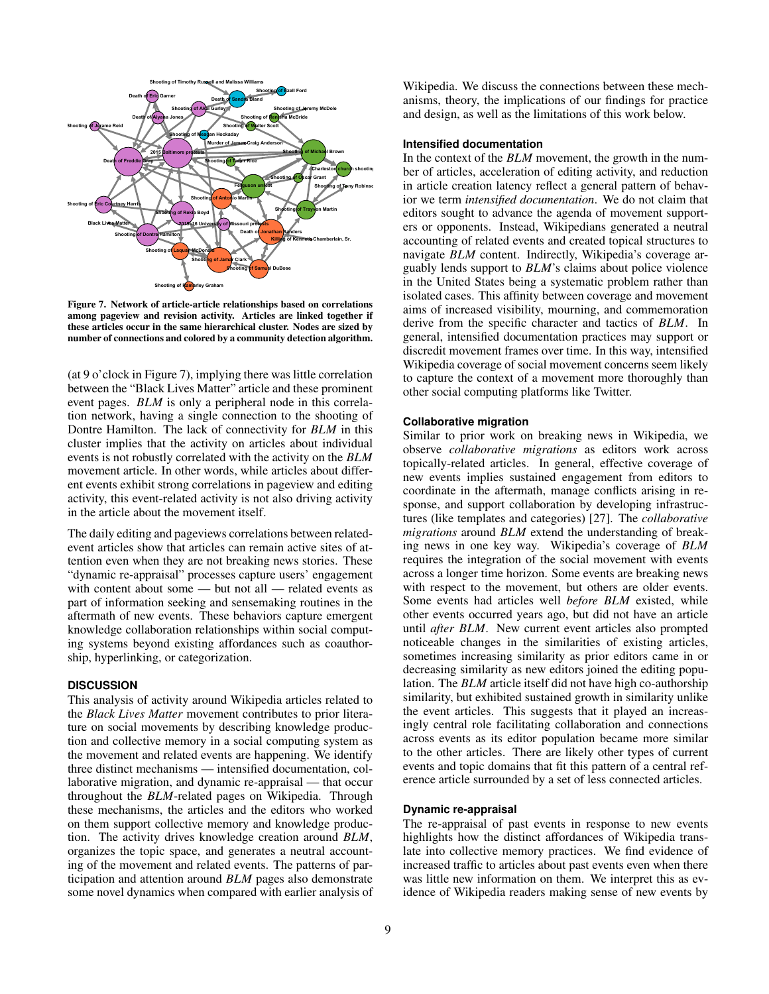

<span id="page-8-0"></span>Figure 7. Network of article-article relationships based on correlations among pageview and revision activity. Articles are linked together if these articles occur in the same hierarchical cluster. Nodes are sized by number of connections and colored by a community detection algorithm.

(at 9 o'clock in Figure [7\)](#page-8-0), implying there was little correlation between the "Black Lives Matter" article and these prominent event pages. *BLM* is only a peripheral node in this correlation network, having a single connection to the shooting of Dontre Hamilton. The lack of connectivity for *BLM* in this cluster implies that the activity on articles about individual events is not robustly correlated with the activity on the *BLM* movement article. In other words, while articles about different events exhibit strong correlations in pageview and editing activity, this event-related activity is not also driving activity in the article about the movement itself.

The daily editing and pageviews correlations between relatedevent articles show that articles can remain active sites of attention even when they are not breaking news stories. These "dynamic re-appraisal" processes capture users' engagement with content about some — but not all — related events as part of information seeking and sensemaking routines in the aftermath of new events. These behaviors capture emergent knowledge collaboration relationships within social computing systems beyond existing affordances such as coauthorship, hyperlinking, or categorization.

# **DISCUSSION**

This analysis of activity around Wikipedia articles related to the *Black Lives Matter* movement contributes to prior literature on social movements by describing knowledge production and collective memory in a social computing system as the movement and related events are happening. We identify three distinct mechanisms — intensified documentation, collaborative migration, and dynamic re-appraisal — that occur throughout the *BLM*-related pages on Wikipedia. Through these mechanisms, the articles and the editors who worked on them support collective memory and knowledge production. The activity drives knowledge creation around *BLM*, organizes the topic space, and generates a neutral accounting of the movement and related events. The patterns of participation and attention around *BLM* pages also demonstrate some novel dynamics when compared with earlier analysis of

Wikipedia. We discuss the connections between these mechanisms, theory, the implications of our findings for practice and design, as well as the limitations of this work below.

# **Intensified documentation**

In the context of the *BLM* movement, the growth in the number of articles, acceleration of editing activity, and reduction in article creation latency reflect a general pattern of behavior we term *intensified documentation*. We do not claim that editors sought to advance the agenda of movement supporters or opponents. Instead, Wikipedians generated a neutral accounting of related events and created topical structures to navigate *BLM* content. Indirectly, Wikipedia's coverage arguably lends support to *BLM*'s claims about police violence in the United States being a systematic problem rather than isolated cases. This affinity between coverage and movement aims of increased visibility, mourning, and commemoration derive from the specific character and tactics of *BLM*. In general, intensified documentation practices may support or discredit movement frames over time. In this way, intensified Wikipedia coverage of social movement concerns seem likely to capture the context of a movement more thoroughly than other social computing platforms like Twitter.

# **Collaborative migration**

Similar to prior work on breaking news in Wikipedia, we observe *collaborative migrations* as editors work across topically-related articles. In general, effective coverage of new events implies sustained engagement from editors to coordinate in the aftermath, manage conflicts arising in response, and support collaboration by developing infrastructures (like templates and categories) [\[27\]](#page-11-4). The *collaborative migrations* around *BLM* extend the understanding of breaking news in one key way. Wikipedia's coverage of *BLM* requires the integration of the social movement with events across a longer time horizon. Some events are breaking news with respect to the movement, but others are older events. Some events had articles well *before BLM* existed, while other events occurred years ago, but did not have an article until *after BLM*. New current event articles also prompted noticeable changes in the similarities of existing articles, sometimes increasing similarity as prior editors came in or decreasing similarity as new editors joined the editing population. The *BLM* article itself did not have high co-authorship similarity, but exhibited sustained growth in similarity unlike the event articles. This suggests that it played an increasingly central role facilitating collaboration and connections across events as its editor population became more similar to the other articles. There are likely other types of current events and topic domains that fit this pattern of a central reference article surrounded by a set of less connected articles.

# **Dynamic re-appraisal**

The re-appraisal of past events in response to new events highlights how the distinct affordances of Wikipedia translate into collective memory practices. We find evidence of increased traffic to articles about past events even when there was little new information on them. We interpret this as evidence of Wikipedia readers making sense of new events by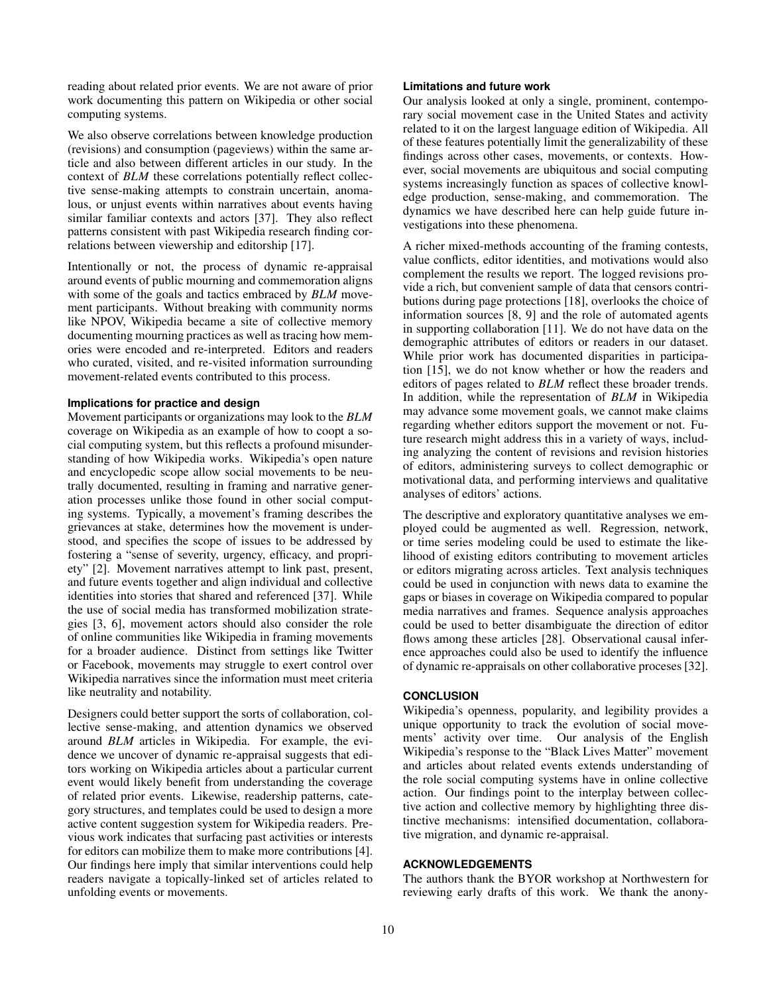reading about related prior events. We are not aware of prior work documenting this pattern on Wikipedia or other social computing systems.

We also observe correlations between knowledge production (revisions) and consumption (pageviews) within the same article and also between different articles in our study. In the context of *BLM* these correlations potentially reflect collective sense-making attempts to constrain uncertain, anomalous, or unjust events within narratives about events having similar familiar contexts and actors [\[37\]](#page-11-20). They also reflect patterns consistent with past Wikipedia research finding correlations between viewership and editorship [\[17\]](#page-10-12).

Intentionally or not, the process of dynamic re-appraisal around events of public mourning and commemoration aligns with some of the goals and tactics embraced by *BLM* movement participants. Without breaking with community norms like NPOV, Wikipedia became a site of collective memory documenting mourning practices as well as tracing how memories were encoded and re-interpreted. Editors and readers who curated, visited, and re-visited information surrounding movement-related events contributed to this process.

# **Implications for practice and design**

Movement participants or organizations may look to the *BLM* coverage on Wikipedia as an example of how to coopt a social computing system, but this reflects a profound misunderstanding of how Wikipedia works. Wikipedia's open nature and encyclopedic scope allow social movements to be neutrally documented, resulting in framing and narrative generation processes unlike those found in other social computing systems. Typically, a movement's framing describes the grievances at stake, determines how the movement is understood, and specifies the scope of issues to be addressed by fostering a "sense of severity, urgency, efficacy, and propriety" [\[2\]](#page-10-14). Movement narratives attempt to link past, present, and future events together and align individual and collective identities into stories that shared and referenced [\[37\]](#page-11-20). While the use of social media has transformed mobilization strategies [\[3,](#page-10-0) [6\]](#page-10-15), movement actors should also consider the role of online communities like Wikipedia in framing movements for a broader audience. Distinct from settings like Twitter or Facebook, movements may struggle to exert control over Wikipedia narratives since the information must meet criteria like neutrality and notability.

Designers could better support the sorts of collaboration, collective sense-making, and attention dynamics we observed around *BLM* articles in Wikipedia. For example, the evidence we uncover of dynamic re-appraisal suggests that editors working on Wikipedia articles about a particular current event would likely benefit from understanding the coverage of related prior events. Likewise, readership patterns, category structures, and templates could be used to design a more active content suggestion system for Wikipedia readers. Previous work indicates that surfacing past activities or interests for editors can mobilize them to make more contributions [\[4\]](#page-10-16). Our findings here imply that similar interventions could help readers navigate a topically-linked set of articles related to unfolding events or movements.

# **Limitations and future work**

Our analysis looked at only a single, prominent, contemporary social movement case in the United States and activity related to it on the largest language edition of Wikipedia. All of these features potentially limit the generalizability of these findings across other cases, movements, or contexts. However, social movements are ubiquitous and social computing systems increasingly function as spaces of collective knowledge production, sense-making, and commemoration. The dynamics we have described here can help guide future investigations into these phenomena.

A richer mixed-methods accounting of the framing contests, value conflicts, editor identities, and motivations would also complement the results we report. The logged revisions provide a rich, but convenient sample of data that censors contributions during page protections [\[18\]](#page-10-13), overlooks the choice of information sources [\[8,](#page-10-17) [9\]](#page-10-18) and the role of automated agents in supporting collaboration [\[11\]](#page-10-19). We do not have data on the demographic attributes of editors or readers in our dataset. While prior work has documented disparities in participation [\[15\]](#page-10-20), we do not know whether or how the readers and editors of pages related to *BLM* reflect these broader trends. In addition, while the representation of *BLM* in Wikipedia may advance some movement goals, we cannot make claims regarding whether editors support the movement or not. Future research might address this in a variety of ways, including analyzing the content of revisions and revision histories of editors, administering surveys to collect demographic or motivational data, and performing interviews and qualitative analyses of editors' actions.

The descriptive and exploratory quantitative analyses we employed could be augmented as well. Regression, network, or time series modeling could be used to estimate the likelihood of existing editors contributing to movement articles or editors migrating across articles. Text analysis techniques could be used in conjunction with news data to examine the gaps or biases in coverage on Wikipedia compared to popular media narratives and frames. Sequence analysis approaches could be used to better disambiguate the direction of editor flows among these articles [\[28\]](#page-11-21). Observational causal inference approaches could also be used to identify the influence of dynamic re-appraisals on other collaborative proceses [\[32\]](#page-11-18).

# **CONCLUSION**

Wikipedia's openness, popularity, and legibility provides a unique opportunity to track the evolution of social movements' activity over time. Our analysis of the English Wikipedia's response to the "Black Lives Matter" movement and articles about related events extends understanding of the role social computing systems have in online collective action. Our findings point to the interplay between collective action and collective memory by highlighting three distinctive mechanisms: intensified documentation, collaborative migration, and dynamic re-appraisal.

# **ACKNOWLEDGEMENTS**

The authors thank the BYOR workshop at Northwestern for reviewing early drafts of this work. We thank the anony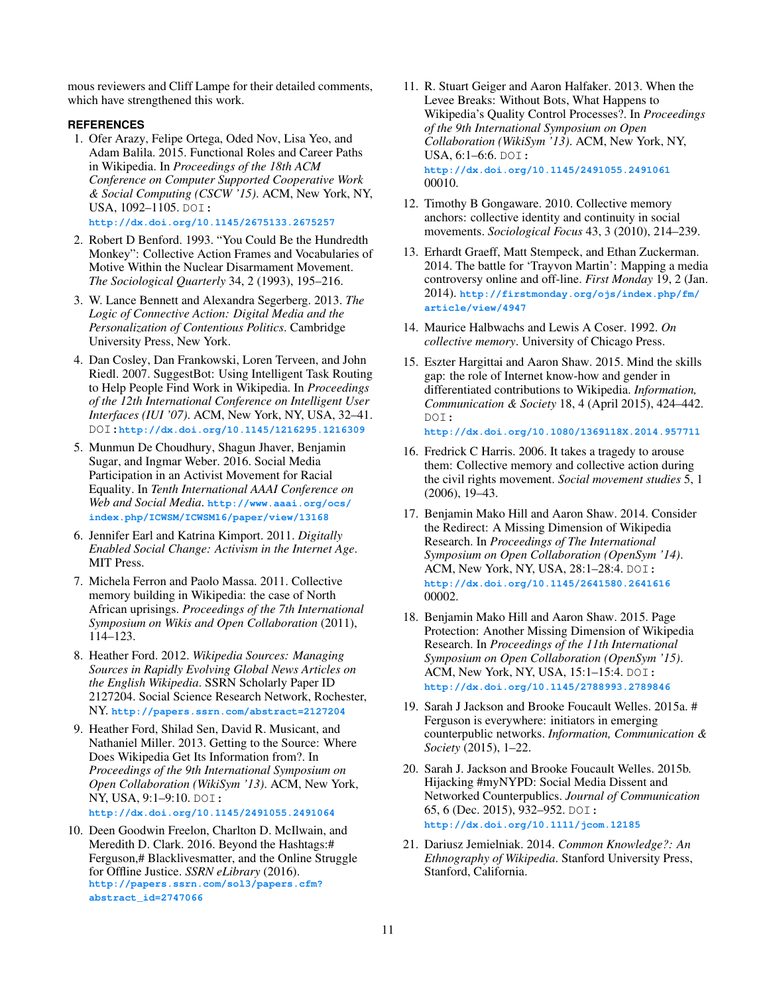mous reviewers and Cliff Lampe for their detailed comments, which have strengthened this work.

# <span id="page-10-7"></span>**REFERENCES**

- 1. Ofer Arazy, Felipe Ortega, Oded Nov, Lisa Yeo, and Adam Balila. 2015. Functional Roles and Career Paths in Wikipedia. In *Proceedings of the 18th ACM Conference on Computer Supported Cooperative Work & Social Computing (CSCW '15)*. ACM, New York, NY, USA, 1092–1105. DOI: **<http://dx.doi.org/10.1145/2675133.2675257>**
- <span id="page-10-14"></span>2. Robert D Benford. 1993. "You Could Be the Hundredth Monkey": Collective Action Frames and Vocabularies of Motive Within the Nuclear Disarmament Movement. *The Sociological Quarterly* 34, 2 (1993), 195–216.
- <span id="page-10-0"></span>3. W. Lance Bennett and Alexandra Segerberg. 2013. *The Logic of Connective Action: Digital Media and the Personalization of Contentious Politics*. Cambridge University Press, New York.
- <span id="page-10-16"></span>4. Dan Cosley, Dan Frankowski, Loren Terveen, and John Riedl. 2007. SuggestBot: Using Intelligent Task Routing to Help People Find Work in Wikipedia. In *Proceedings of the 12th International Conference on Intelligent User Interfaces (IUI '07)*. ACM, New York, NY, USA, 32–41. DOI:**<http://dx.doi.org/10.1145/1216295.1216309>**
- <span id="page-10-6"></span>5. Munmun De Choudhury, Shagun Jhaver, Benjamin Sugar, and Ingmar Weber. 2016. Social Media Participation in an Activist Movement for Racial Equality. In *Tenth International AAAI Conference on Web and Social Media*. **[http://www.aaai.org/ocs/](http://www.aaai.org/ocs/index.php/ICWSM/ICWSM16/paper/view/13168) [index.php/ICWSM/ICWSM16/paper/view/13168](http://www.aaai.org/ocs/index.php/ICWSM/ICWSM16/paper/view/13168)**
- <span id="page-10-15"></span>6. Jennifer Earl and Katrina Kimport. 2011. *Digitally Enabled Social Change: Activism in the Internet Age*. MIT Press.
- <span id="page-10-1"></span>7. Michela Ferron and Paolo Massa. 2011. Collective memory building in Wikipedia: the case of North African uprisings. *Proceedings of the 7th International Symposium on Wikis and Open Collaboration* (2011), 114–123.
- <span id="page-10-17"></span>8. Heather Ford. 2012. *Wikipedia Sources: Managing Sources in Rapidly Evolving Global News Articles on the English Wikipedia*. SSRN Scholarly Paper ID 2127204. Social Science Research Network, Rochester, NY. **<http://papers.ssrn.com/abstract=2127204>**
- <span id="page-10-18"></span>9. Heather Ford, Shilad Sen, David R. Musicant, and Nathaniel Miller. 2013. Getting to the Source: Where Does Wikipedia Get Its Information from?. In *Proceedings of the 9th International Symposium on Open Collaboration (WikiSym '13)*. ACM, New York, NY, USA, 9:1–9:10. DOI:

```
http://dx.doi.org/10.1145/2491055.2491064
```
<span id="page-10-3"></span>10. Deen Goodwin Freelon, Charlton D. McIlwain, and Meredith D. Clark. 2016. Beyond the Hashtags:# Ferguson,# Blacklivesmatter, and the Online Struggle for Offline Justice. *SSRN eLibrary* (2016). **[http://papers.ssrn.com/sol3/papers.cfm?](http://papers.ssrn.com/sol3/papers.cfm?abstract_id=2747066) [abstract\\_id=2747066](http://papers.ssrn.com/sol3/papers.cfm?abstract_id=2747066)**

- <span id="page-10-19"></span>11. R. Stuart Geiger and Aaron Halfaker. 2013. When the Levee Breaks: Without Bots, What Happens to Wikipedia's Quality Control Processes?. In *Proceedings of the 9th International Symposium on Open Collaboration (WikiSym '13)*. ACM, New York, NY, USA, 6:1–6:6. DOI: **<http://dx.doi.org/10.1145/2491055.2491061>** 00010.
- <span id="page-10-10"></span>12. Timothy B Gongaware. 2010. Collective memory anchors: collective identity and continuity in social movements. *Sociological Focus* 43, 3 (2010), 214–239.
- <span id="page-10-2"></span>13. Erhardt Graeff, Matt Stempeck, and Ethan Zuckerman. 2014. The battle for 'Trayvon Martin': Mapping a media controversy online and off-line. *First Monday* 19, 2 (Jan. 2014). **[http://firstmonday.org/ojs/index.php/fm/](http://firstmonday.org/ojs/index.php/fm/article/view/4947) [article/view/4947](http://firstmonday.org/ojs/index.php/fm/article/view/4947)**
- <span id="page-10-11"></span>14. Maurice Halbwachs and Lewis A Coser. 1992. *On collective memory*. University of Chicago Press.
- <span id="page-10-20"></span>15. Eszter Hargittai and Aaron Shaw. 2015. Mind the skills gap: the role of Internet know-how and gender in differentiated contributions to Wikipedia. *Information, Communication & Society* 18, 4 (April 2015), 424–442. DOI: **<http://dx.doi.org/10.1080/1369118X.2014.957711>**
- <span id="page-10-9"></span>16. Fredrick C Harris. 2006. It takes a tragedy to arouse them: Collective memory and collective action during the civil rights movement. *Social movement studies* 5, 1 (2006), 19–43.
- <span id="page-10-12"></span>17. Benjamin Mako Hill and Aaron Shaw. 2014. Consider the Redirect: A Missing Dimension of Wikipedia Research. In *Proceedings of The International Symposium on Open Collaboration (OpenSym '14)*. ACM, New York, NY, USA, 28:1–28:4. DOI: **<http://dx.doi.org/10.1145/2641580.2641616>** 00002.
- <span id="page-10-13"></span>18. Benjamin Mako Hill and Aaron Shaw. 2015. Page Protection: Another Missing Dimension of Wikipedia Research. In *Proceedings of the 11th International Symposium on Open Collaboration (OpenSym '15)*. ACM, New York, NY, USA, 15:1–15:4. DOI: **<http://dx.doi.org/10.1145/2788993.2789846>**
- <span id="page-10-4"></span>19. Sarah J Jackson and Brooke Foucault Welles. 2015a. # Ferguson is everywhere: initiators in emerging counterpublic networks. *Information, Communication & Society* (2015), 1–22.
- <span id="page-10-5"></span>20. Sarah J. Jackson and Brooke Foucault Welles. 2015b. Hijacking #myNYPD: Social Media Dissent and Networked Counterpublics. *Journal of Communication* 65, 6 (Dec. 2015), 932–952. DOI: **<http://dx.doi.org/10.1111/jcom.12185>**
- <span id="page-10-8"></span>21. Dariusz Jemielniak. 2014. *Common Knowledge?: An Ethnography of Wikipedia*. Stanford University Press, Stanford, California.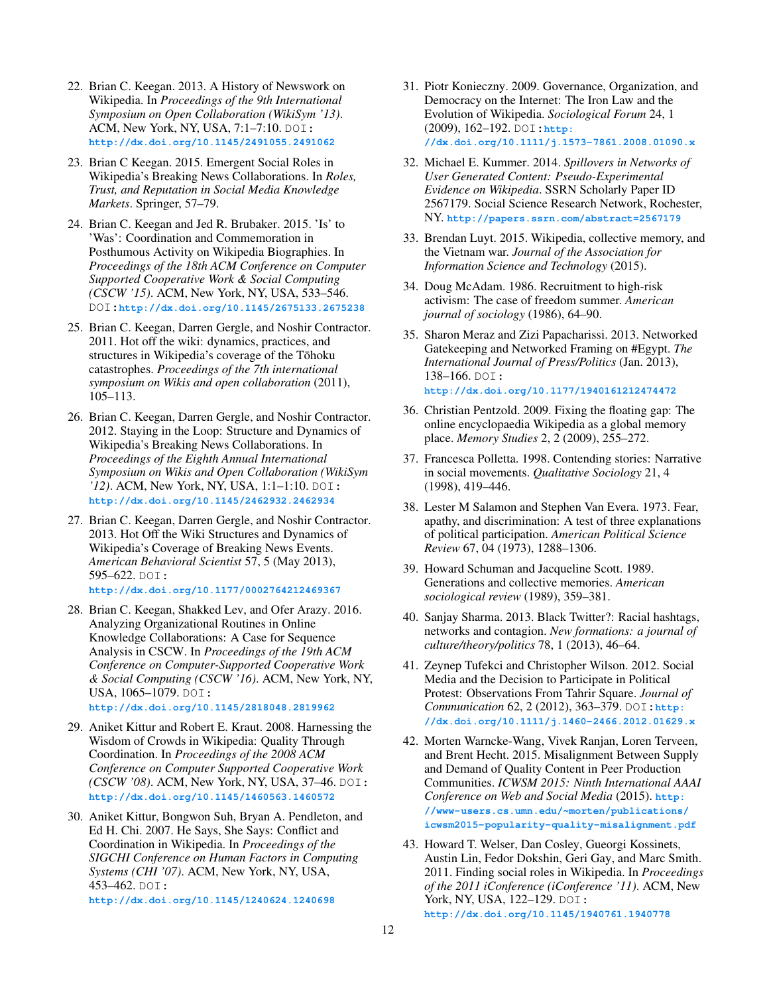- <span id="page-11-5"></span>22. Brian C. Keegan. 2013. A History of Newswork on Wikipedia. In *Proceedings of the 9th International Symposium on Open Collaboration (WikiSym '13)*. ACM, New York, NY, USA, 7:1–7:10. DOI: **<http://dx.doi.org/10.1145/2491055.2491062>**
- <span id="page-11-9"></span>23. Brian C Keegan. 2015. Emergent Social Roles in Wikipedia's Breaking News Collaborations. In *Roles, Trust, and Reputation in Social Media Knowledge Markets*. Springer, 57–79.
- <span id="page-11-16"></span>24. Brian C. Keegan and Jed R. Brubaker. 2015. 'Is' to 'Was': Coordination and Commemoration in Posthumous Activity on Wikipedia Biographies. In *Proceedings of the 18th ACM Conference on Computer Supported Cooperative Work & Social Computing (CSCW '15)*. ACM, New York, NY, USA, 533–546. DOI:**<http://dx.doi.org/10.1145/2675133.2675238>**
- <span id="page-11-3"></span>25. Brian C. Keegan, Darren Gergle, and Noshir Contractor. 2011. Hot off the wiki: dynamics, practices, and structures in Wikipedia's coverage of the Tohoku ¯ catastrophes. *Proceedings of the 7th international symposium on Wikis and open collaboration* (2011), 105–113.
- <span id="page-11-8"></span>26. Brian C. Keegan, Darren Gergle, and Noshir Contractor. 2012. Staying in the Loop: Structure and Dynamics of Wikipedia's Breaking News Collaborations. In *Proceedings of the Eighth Annual International Symposium on Wikis and Open Collaboration (WikiSym '12)*. ACM, New York, NY, USA, 1:1–1:10. DOI: **<http://dx.doi.org/10.1145/2462932.2462934>**
- <span id="page-11-4"></span>27. Brian C. Keegan, Darren Gergle, and Noshir Contractor. 2013. Hot Off the Wiki Structures and Dynamics of Wikipedia's Coverage of Breaking News Events. *American Behavioral Scientist* 57, 5 (May 2013), 595–622. DOI: **<http://dx.doi.org/10.1177/0002764212469367>**
- <span id="page-11-21"></span>28. Brian C. Keegan, Shakked Lev, and Ofer Arazy. 2016. Analyzing Organizational Routines in Online Knowledge Collaborations: A Case for Sequence Analysis in CSCW. In *Proceedings of the 19th ACM Conference on Computer-Supported Cooperative Work & Social Computing (CSCW '16)*. ACM, New York, NY, USA, 1065–1079. DOI: **<http://dx.doi.org/10.1145/2818048.2819962>**
- <span id="page-11-12"></span>29. Aniket Kittur and Robert E. Kraut. 2008. Harnessing the Wisdom of Crowds in Wikipedia: Quality Through Coordination. In *Proceedings of the 2008 ACM Conference on Computer Supported Cooperative Work (CSCW '08)*. ACM, New York, NY, USA, 37–46. DOI: **<http://dx.doi.org/10.1145/1460563.1460572>**
- <span id="page-11-11"></span>30. Aniket Kittur, Bongwon Suh, Bryan A. Pendleton, and Ed H. Chi. 2007. He Says, She Says: Conflict and Coordination in Wikipedia. In *Proceedings of the SIGCHI Conference on Human Factors in Computing Systems (CHI '07)*. ACM, New York, NY, USA, 453–462. DOI:

**<http://dx.doi.org/10.1145/1240624.1240698>**

- <span id="page-11-13"></span>31. Piotr Konieczny. 2009. Governance, Organization, and Democracy on the Internet: The Iron Law and the Evolution of Wikipedia. *Sociological Forum* 24, 1 (2009), 162–192. DOI:**[http:](http://dx.doi.org/10.1111/j.1573-7861.2008.01090.x) [//dx.doi.org/10.1111/j.1573-7861.2008.01090.x](http://dx.doi.org/10.1111/j.1573-7861.2008.01090.x)**
- <span id="page-11-18"></span>32. Michael E. Kummer. 2014. *Spillovers in Networks of User Generated Content: Pseudo-Experimental Evidence on Wikipedia*. SSRN Scholarly Paper ID 2567179. Social Science Research Network, Rochester, NY. **<http://papers.ssrn.com/abstract=2567179>**
- <span id="page-11-1"></span>33. Brendan Luyt. 2015. Wikipedia, collective memory, and the Vietnam war. *Journal of the Association for Information Science and Technology* (2015).
- <span id="page-11-15"></span>34. Doug McAdam. 1986. Recruitment to high-risk activism: The case of freedom summer. *American journal of sociology* (1986), 64–90.
- <span id="page-11-0"></span>35. Sharon Meraz and Zizi Papacharissi. 2013. Networked Gatekeeping and Networked Framing on #Egypt. *The International Journal of Press/Politics* (Jan. 2013), 138–166. DOI: **<http://dx.doi.org/10.1177/1940161212474472>**
- <span id="page-11-2"></span>36. Christian Pentzold. 2009. Fixing the floating gap: The online encyclopaedia Wikipedia as a global memory place. *Memory Studies* 2, 2 (2009), 255–272.
- <span id="page-11-20"></span>37. Francesca Polletta. 1998. Contending stories: Narrative in social movements. *Qualitative Sociology* 21, 4 (1998), 419–446.
- <span id="page-11-17"></span>38. Lester M Salamon and Stephen Van Evera. 1973. Fear, apathy, and discrimination: A test of three explanations of political participation. *American Political Science Review* 67, 04 (1973), 1288–1306.
- <span id="page-11-14"></span>39. Howard Schuman and Jacqueline Scott. 1989. Generations and collective memories. *American sociological review* (1989), 359–381.
- <span id="page-11-6"></span>40. Sanjay Sharma. 2013. Black Twitter?: Racial hashtags, networks and contagion. *New formations: a journal of culture/theory/politics* 78, 1 (2013), 46–64.
- <span id="page-11-7"></span>41. Zeynep Tufekci and Christopher Wilson. 2012. Social Media and the Decision to Participate in Political Protest: Observations From Tahrir Square. *Journal of Communication* 62, 2 (2012), 363–379. DOI:**[http:](http://dx.doi.org/10.1111/j.1460-2466.2012.01629.x) [//dx.doi.org/10.1111/j.1460-2466.2012.01629.x](http://dx.doi.org/10.1111/j.1460-2466.2012.01629.x)**
- <span id="page-11-19"></span>42. Morten Warncke-Wang, Vivek Ranjan, Loren Terveen, and Brent Hecht. 2015. Misalignment Between Supply and Demand of Quality Content in Peer Production Communities. *ICWSM 2015: Ninth International AAAI Conference on Web and Social Media* (2015). **[http:](http://www-users.cs.umn.edu/~morten/publications/icwsm2015-popularity-quality-misalignment.pdf) [//www-users.cs.umn.edu/~morten/publications/](http://www-users.cs.umn.edu/~morten/publications/icwsm2015-popularity-quality-misalignment.pdf) [icwsm2015-popularity-quality-misalignment.pdf](http://www-users.cs.umn.edu/~morten/publications/icwsm2015-popularity-quality-misalignment.pdf)**
- <span id="page-11-10"></span>43. Howard T. Welser, Dan Cosley, Gueorgi Kossinets, Austin Lin, Fedor Dokshin, Geri Gay, and Marc Smith. 2011. Finding social roles in Wikipedia. In *Proceedings of the 2011 iConference (iConference '11)*. ACM, New York, NY, USA, 122-129. DOI: **<http://dx.doi.org/10.1145/1940761.1940778>**